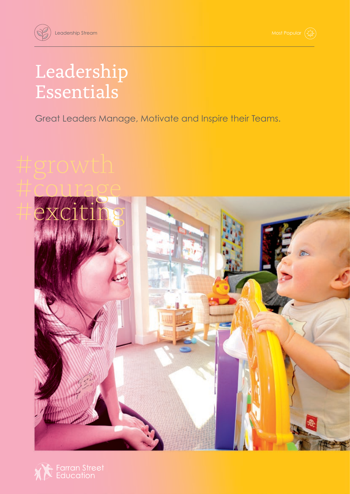## Leadership Essentials

Great Leaders Manage, Motivate and Inspire their Teams.